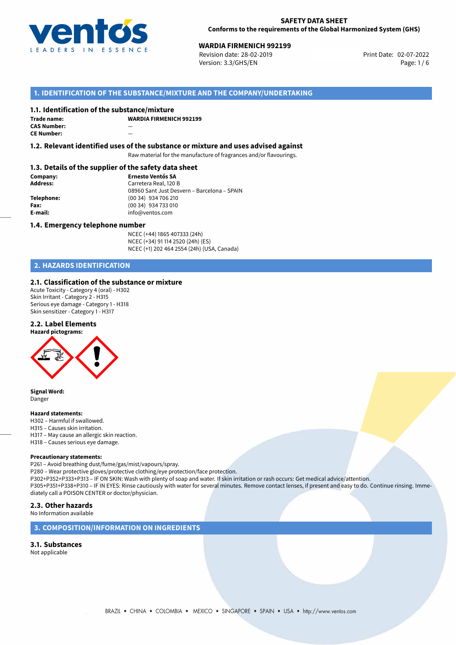

Revision date: 28-02-2019 Version: 3.3/GHS/EN Page: 1 / 6

## **1. IDENTIFICATION OF THE SUBSTANCE/MIXTURE AND THE COMPANY/UNDERTAKING**

### **1.1. Identification of the substance/mixture**

| Trade name:        | w |
|--------------------|---|
| <b>CAS Number:</b> |   |
| <b>CE Number:</b>  |   |

**WARDIA FIRMENICH 992199**

**1.2. Relevant identified uses of the substance or mixture and uses advised against**

Raw material for the manufacture of fragrances and/or flavourings.

### **1.3. Details of the supplier of the safety data sheet**

**Company: Ernesto Ventós SA Address:** Carretera Real, 120 B 08960 Sant Just Desvern – Barcelona – SPAIN **Telephone:** (00 34) 934 706 210 **Fax:** (00 34) 934 733 010<br> **E-mail: E-mail:** info@ventos.com **E-mail:** info@ventos.com

#### **1.4. Emergency telephone number**

NCEC (+44) 1865 407333 (24h) NCEC (+34) 91 114 2520 (24h) (ES) NCEC (+1) 202 464 2554 (24h) (USA, Canada)

# **2. HAZARDS IDENTIFICATION**

## **2.1. Classification of the substance or mixture**

Acute Toxicity - Category 4 (oral) - H302 Skin Irritant - Category 2 - H315 Serious eye damage - Category 1 - H318 Skin sensitizer - Category 1 - H317

#### **2.2. Label Elements**



**Signal Word:** Danger

#### **Hazard statements:**

H302 – Harmful if swallowed. H315 – Causes skin irritation. H317 – May cause an allergic skin reaction. H318 – Causes serious eye damage.

#### **Precautionary statements:**

P261 – Avoid breathing dust/fume/gas/mist/vapours/spray.

P280 – Wear protective gloves/protective clothing/eye protection/face protection.

P302+P352+P333+P313 – IF ON SKIN: Wash with plenty of soap and water. If skin irritation or rash occurs: Get medical advice/attention. P305+P351+P338+P310 – IF IN EYES: Rinse cautiously with water for several minutes. Remove contact lenses, if present and easy to do. Continue rinsing. Immediately call a POISON CENTER or doctor/physician.

#### **2.3. Other hazards**

No Information available

# **3. COMPOSITION/INFORMATION ON INGREDIENTS**

#### **3.1. Substances** Not applicable

BRAZIL • CHINA • COLOMBIA • MEXICO • SINGAPORE • SPAIN • USA • http://www.ventos.com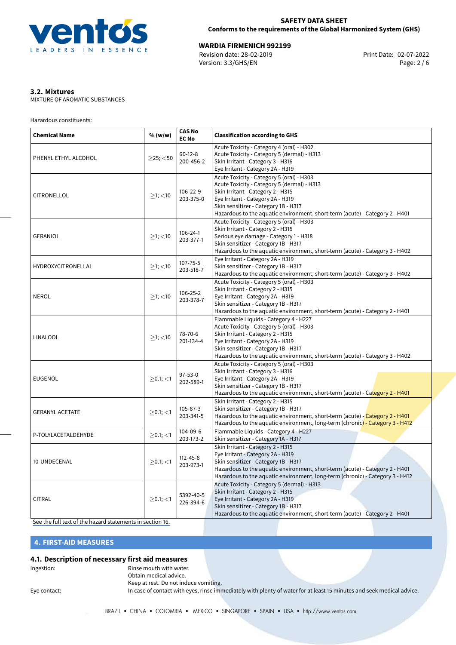

## **SAFETY DATA SHEET Conforms to the requirements of the Global Harmonized System (GHS)**

# **WARDIA FIRMENICH 992199**<br>
Revision date: 28-02-2019<br> **Print Date: 02-07-2022**

Revision date: 28-02-2019 Version: 3.3/GHS/EN Page: 2 / 6

# **3.2. Mixtures**

MIXTURE OF AROMATIC SUBSTANCES

Hazardous constituents:

| <b>Chemical Name</b>   | % (w/w)        | <b>CAS No</b><br><b>EC No</b> | <b>Classification according to GHS</b>                                                                                                                                                                                                                                                     |  |
|------------------------|----------------|-------------------------------|--------------------------------------------------------------------------------------------------------------------------------------------------------------------------------------------------------------------------------------------------------------------------------------------|--|
| PHENYL ETHYL ALCOHOL   | $\geq$ 25; <50 | $60-12-8$<br>200-456-2        | Acute Toxicity - Category 4 (oral) - H302<br>Acute Toxicity - Category 5 (dermal) - H313<br>Skin Irritant - Category 3 - H316<br>Eye Irritant - Category 2A - H319                                                                                                                         |  |
| <b>CITRONELLOL</b>     | $≥1;$ < 10     | 106-22-9<br>203-375-0         | Acute Toxicity - Category 5 (oral) - H303<br>Acute Toxicity - Category 5 (dermal) - H313<br>Skin Irritant - Category 2 - H315<br>Eye Irritant - Category 2A - H319<br>Skin sensitizer - Category 1B - H317<br>Hazardous to the aquatic environment, short-term (acute) - Category 2 - H401 |  |
| <b>GERANIOL</b>        | $\geq$ 1; <10  | $106 - 24 - 1$<br>203-377-1   | Acute Toxicity - Category 5 (oral) - H303<br>Skin Irritant - Category 2 - H315<br>Serious eye damage - Category 1 - H318<br>Skin sensitizer - Category 1B - H317<br>Hazardous to the aquatic environment, short-term (acute) - Category 3 - H402                                           |  |
| HYDROXYCITRONELLAL     | $>1$ ; <10     | 107-75-5<br>203-518-7         | Eye Irritant - Category 2A - H319<br>Skin sensitizer - Category 1B - H317<br>Hazardous to the aquatic environment, short-term (acute) - Category 3 - H402                                                                                                                                  |  |
| <b>NEROL</b>           | $>1$ ; $<$ 10  | 106-25-2<br>203-378-7         | Acute Toxicity - Category 5 (oral) - H303<br>Skin Irritant - Category 2 - H315<br>Eye Irritant - Category 2A - H319<br>Skin sensitizer - Category 1B - H317<br>Hazardous to the aquatic environment, short-term (acute) - Category 2 - H401                                                |  |
| LINALOOL               | $>1$ ; $<$ 10  | 78-70-6<br>201-134-4          | Flammable Liquids - Category 4 - H227<br>Acute Toxicity - Category 5 (oral) - H303<br>Skin Irritant - Category 2 - H315<br>Eye Irritant - Category 2A - H319<br>Skin sensitizer - Category 1B - H317<br>Hazardous to the aquatic environment, short-term (acute) - Category 3 - H402       |  |
| <b>EUGENOL</b>         | $>0.1$ ; $<$ 1 | $97 - 53 - 0$<br>202-589-1    | Acute Toxicity - Category 5 (oral) - H303<br>Skin Irritant - Category 3 - H316<br>Eye Irritant - Category 2A - H319<br>Skin sensitizer - Category 1B - H317<br>Hazardous to the aquatic environment, short-term (acute) - Category 2 - H401                                                |  |
| <b>GERANYL ACETATE</b> | $>0.1$ ; $<$ 1 | 105-87-3<br>203-341-5         | Skin Irritant - Category 2 - H315<br>Skin sensitizer - Category 1B - H317<br>Hazardous to the aquatic environment, short-term (acute) - Category 2 - H401<br>Hazardous to the aquatic environment, long-term (chronic) - Category 3 - H412                                                 |  |
| P-TOLYLACETALDEHYDE    | $\geq$ 0.1; <1 | 104-09-6<br>203-173-2         | Flammable Liquids - Category 4 - H227<br>Skin sensitizer - Category 1A - H317                                                                                                                                                                                                              |  |
| 10-UNDECENAL           | $>0.1$ ; $<$ 1 | $112 - 45 - 8$<br>203-973-1   | Skin Irritant - Category 2 - H315<br>Eye Irritant - Category 2A - H319<br>Skin sensitizer - Category 1B - H317<br>Hazardous to the aquatic environment, short-term (acute) - Category 2 - H401<br>Hazardous to the aquatic environment, long-term (chronic) - Category 3 - H412            |  |
| <b>CITRAL</b>          | $\geq$ 0.1; <1 | 5392-40-5<br>226-394-6        | Acute Toxicity - Category 5 (dermal) - H313<br>Skin Irritant - Category 2 - H315<br>Eye Irritant - Category 2A - H319<br>Skin sensitizer - Category 1B - H317<br>Hazardous to the aquatic environment, short-term (acute) - Category 2 - H401                                              |  |

[See the full text of the hazard statements in section 16.](#page-4-0)

**4. FIRST-AID MEASURES**

# **4.1. Description of necessary first aid measures**

Rinse mouth with water. Obtain medical advice. Keep at rest. Do not induce vomiting.

Eye contact: In case of contact with eyes, rinse immediately with plenty of water for at least 15 minutes and seek medical advice.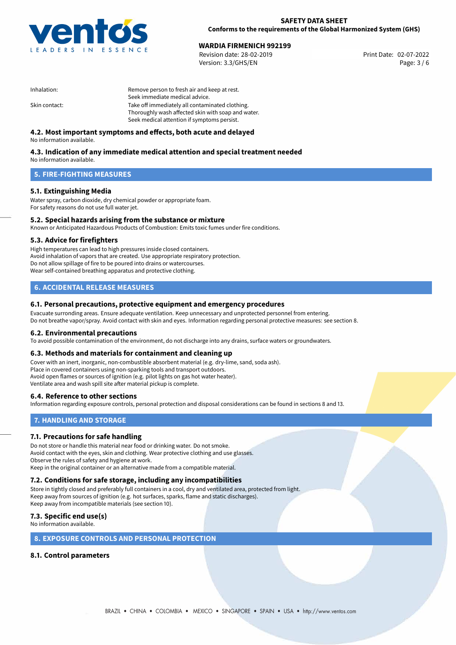

Revision date: 28-02-2019 Version: 3.3/GHS/EN Page: 3 / 6

| Remove person to fresh air and keep at rest.       |
|----------------------------------------------------|
| Seek immediate medical advice.                     |
| Take off immediately all contaminated clothing.    |
| Thoroughly wash affected skin with soap and water. |
| Seek medical attention if symptoms persist.        |
|                                                    |

# **4.2. Most important symptoms and effects, both acute and delayed**

No information available.

# **4.3. Indication of any immediate medical attention and special treatment needed**

No information available.

## **5. FIRE-FIGHTING MEASURES**

### **5.1. Extinguishing Media**

Water spray, carbon dioxide, dry chemical powder or appropriate foam. For safety reasons do not use full water jet.

## **5.2. Special hazards arising from the substance or mixture**

Known or Anticipated Hazardous Products of Combustion: Emits toxic fumes under fire conditions.

#### **5.3. Advice for firefighters**

High temperatures can lead to high pressures inside closed containers. Avoid inhalation of vapors that are created. Use appropriate respiratory protection. Do not allow spillage of fire to be poured into drains or watercourses. Wear self-contained breathing apparatus and protective clothing.

## **6. ACCIDENTAL RELEASE MEASURES**

#### **6.1. Personal precautions, protective equipment and emergency procedures**

Evacuate surronding areas. Ensure adequate ventilation. Keep unnecessary and unprotected personnel from entering. Do not breathe vapor/spray. Avoid contact with skin and eyes. Information regarding personal protective measures: see section 8.

#### **6.2. Environmental precautions**

To avoid possible contamination of the environment, do not discharge into any drains, surface waters or groundwaters.

#### **6.3. Methods and materials for containment and cleaning up**

Cover with an inert, inorganic, non-combustible absorbent material (e.g. dry-lime, sand, soda ash). Place in covered containers using non-sparking tools and transport outdoors. Avoid open flames or sources of ignition (e.g. pilot lights on gas hot water heater). Ventilate area and wash spill site after material pickup is complete.

### **6.4. Reference to other sections**

Information regarding exposure controls, personal protection and disposal considerations can be found in sections 8 and 13.

# **7. HANDLING AND STORAGE**

### **7.1. Precautions for safe handling**

Do not store or handle this material near food or drinking water. Do not smoke. Avoid contact with the eyes, skin and clothing. Wear protective clothing and use glasses. Observe the rules of safety and hygiene at work. Keep in the original container or an alternative made from a compatible material.

# **7.2. Conditions for safe storage, including any incompatibilities**

Store in tightly closed and preferably full containers in a cool, dry and ventilated area, protected from light. Keep away from sources of ignition (e.g. hot surfaces, sparks, flame and static discharges). Keep away from incompatible materials (see section 10).

# **7.3. Specific end use(s)**

No information available.

**8. EXPOSURE CONTROLS AND PERSONAL PROTECTION**

## **8.1. Control parameters**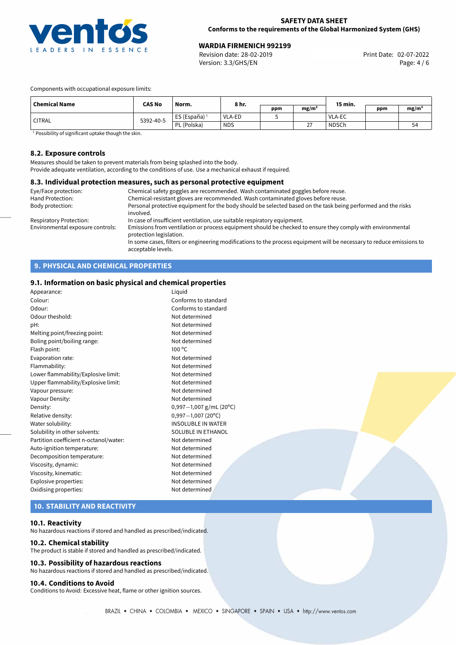

Revision date: 28-02-2019 Version: 3.3/GHS/EN Page: 4 / 6

Components with occupational exposure limits:

| Chemical Name | <b>CAS No</b> | Norm.                    | 8 hr.      |     |                   | 15 min. |     |                   |
|---------------|---------------|--------------------------|------------|-----|-------------------|---------|-----|-------------------|
|               |               |                          |            | ppm | mg/m <sup>3</sup> |         | ppm | mg/m <sup>3</sup> |
| <b>CITRAL</b> | 5392-40-5     | ES (España) <sup>1</sup> | VLA-ED     |     |                   | VLA-EC  |     |                   |
|               |               | PL (Polska)              | <b>NDS</b> |     | $\sim$<br>▴       | NDSCh   |     | 54                |

<sup>1</sup> Possibility of significant uptake though the skin.

### **8.2. Exposure controls**

Measures should be taken to prevent materials from being splashed into the body. Provide adequate ventilation, according to the conditions of use. Use a mechanical exhaust if required.

#### **8.3. Individual protection measures, such as personal protective equipment**

| Chemical safety goggles are recommended. Wash contaminated goggles before reuse.                                                            |
|---------------------------------------------------------------------------------------------------------------------------------------------|
| Chemical-resistant gloves are recommended. Wash contaminated gloves before reuse.                                                           |
| Personal protective equipment for the body should be selected based on the task being performed and the risks<br>involved.                  |
| In case of insufficient ventilation, use suitable respiratory equipment.                                                                    |
| Emissions from ventilation or process equipment should be checked to ensure they comply with environmental<br>protection legislation.       |
| In some cases, filters or engineering modifications to the process equipment will be necessary to reduce emissions to<br>acceptable levels. |
|                                                                                                                                             |

# **9. PHYSICAL AND CHEMICAL PROPERTIES**

## **9.1. Information on basic physical and chemical properties**

| Appearance:                            | Liguid                     |
|----------------------------------------|----------------------------|
| Colour:                                | Conforms to standard       |
| Odour:                                 | Conforms to standard       |
| Odour theshold:                        | Not determined             |
| pH:                                    | Not determined             |
| Melting point/freezing point:          | Not determined             |
| Boling point/boiling range:            | Not determined             |
| Flash point:                           | $100^{\circ}$ C            |
| Evaporation rate:                      | Not determined             |
| Flammability:                          | Not determined             |
| Lower flammability/Explosive limit:    | Not determined             |
| Upper flammability/Explosive limit:    | Not determined             |
| Vapour pressure:                       | Not determined             |
| Vapour Density:                        | Not determined             |
| Density:                               | 0,997 $-1,007$ g/mL (20°C) |
| Relative density:                      | $0,997 - 1,007$ (20°C)     |
| Water solubility:                      | <b>INSOLUBLE IN WATER</b>  |
| Solubility in other solvents:          | SOLUBLE IN ETHANOL         |
| Partition coefficient n-octanol/water: | Not determined             |
| Auto-ignition temperature:             | Not determined             |
| Decomposition temperature:             | Not determined             |
| Viscosity, dynamic:                    | Not determined             |
| Viscosity, kinematic:                  | Not determined             |
| Explosive properties:                  | Not determined             |
| Oxidising properties:                  | Not determined             |

## **10. STABILITY AND REACTIVITY**

#### **10.1. Reactivity**

No hazardous reactions if stored and handled as prescribed/indicated.

#### **10.2. Chemical stability**

The product is stable if stored and handled as prescribed/indicated.

# **10.3. Possibility of hazardous reactions**

No hazardous reactions if stored and handled as prescribed/indicated.

#### **10.4. Conditions to Avoid**

Conditions to Avoid: Excessive heat, flame or other ignition sources.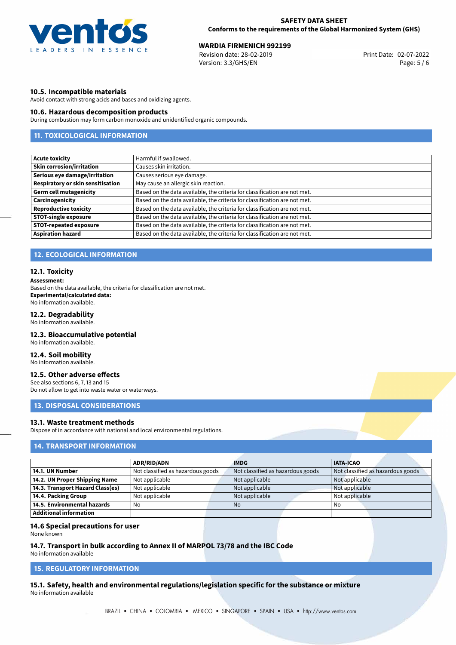

Revision date: 28-02-2019 Version: 3.3/GHS/EN Page: 5 / 6

## **10.5. Incompatible materials**

Avoid contact with strong acids and bases and oxidizing agents.

#### **10.6. Hazardous decomposition products**

During combustion may form carbon monoxide and unidentified organic compounds.

# **11. TOXICOLOGICAL INFORMATION**

| Harmful if swallowed.                                                     |
|---------------------------------------------------------------------------|
| Causes skin irritation.                                                   |
| Causes serious eye damage.                                                |
| May cause an allergic skin reaction.                                      |
| Based on the data available, the criteria for classification are not met. |
| Based on the data available, the criteria for classification are not met. |
| Based on the data available, the criteria for classification are not met. |
| Based on the data available, the criteria for classification are not met. |
| Based on the data available, the criteria for classification are not met. |
| Based on the data available, the criteria for classification are not met. |
|                                                                           |

### **12. ECOLOGICAL INFORMATION**

#### **12.1. Toxicity**

#### **Assessment:**

Based on the data available, the criteria for classification are not met. **Experimental/calculated data:** No information available.

### **12.2. Degradability**

No information available.

#### **12.3. Bioaccumulative potential**

No information available.

#### **12.4. Soil mobility**

No information available.

# **12.5. Other adverse effects**

See also sections 6, 7, 13 and 15 Do not allow to get into waste water or waterways.

## **13. DISPOSAL CONSIDERATIONS**

## **13.1. Waste treatment methods**

Dispose of in accordance with national and local environmental regulations.

## **14. TRANSPORT INFORMATION**

|                                    | <b>ADR/RID/ADN</b>                | <b>IMDG</b>                       | <b>IATA-ICAO</b>                  |
|------------------------------------|-----------------------------------|-----------------------------------|-----------------------------------|
| 14.1. UN Number                    | Not classified as hazardous goods | Not classified as hazardous goods | Not classified as hazardous goods |
| 14.2. UN Proper Shipping Name      | Not applicable                    | Not applicable                    | Not applicable                    |
| 14.3. Transport Hazard Class(es)   | Not applicable                    | Not applicable                    | Not applicable                    |
| 14.4. Packing Group                | Not applicable                    | Not applicable                    | Not applicable                    |
| $\mid$ 14.5. Environmental hazards | No                                | No.                               | No                                |
| Additional information             |                                   |                                   |                                   |

#### **14.6 Special precautions for user**

None known

#### **14.7. Transport in bulk according to Annex II of MARPOL 73/78 and the IBC Code**

No information available

# **15. REGULATORY INFORMATION**

<span id="page-4-0"></span>**15.1. Safety, health and environmental regulations/legislation specific for the substance or mixture** No information available